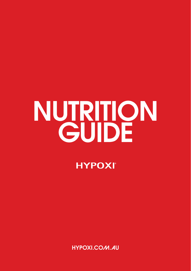# NUTRITION

**HYPOXI**<sup>®</sup>

HYPOXI.COM.AU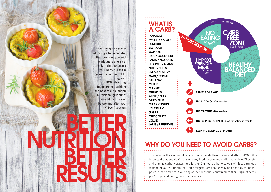Healthy eating means following a balanced diet that provides you with the adequate energy at the right time to ensure your body burns the maximum amount of fat during your HYPOXI-Training. To ensure you achieve the best results, simple nutritional guidelines should be followed before and after your HYPOXI session.



#### WHAT IS A CARB?

POTATOES SWEET POTATOES PUMPKIN **BEETROOT CARROTS** RICE / COUS COUS PASTA / NOODLES LEGUMES / BEANS NUTS / SEEDS BREAD / PASTRY OATS / CEREAL BANANAS MELON MANGO **CHERRIES** APPLE / PEAR DRIED FRUIT MILK / YOGURT

ICE CREAM **SUGAR** 

**CHOCOLATE** 

LOLLIES

JAMS / PRESERVES

KEEP HYDRATED 1.5-2 l of water

NO EXERCISE on HYPOXI days for optimum results

plus 2-4 hours

**HEALTHY BALANCED** 

 $_{110}$  to 6 hours in total

NO

HYPORT SESSION

## WHY DO YOU NEED TO AVOID CARBS?

8 HOURS OF SLEEP

NO ALCOHOL after session

NO CAFFEINE after session

To maximise the amount of fat your body metabolises during and after HYPOXI, it is important that you don't consume any food for two hours after your HYPOXI session and then no carbohydrates for a further 2-4 hours otherwise you will just burn food instead of your stubborn fat. Don't forget! Carbs are sneaky and not only found in pasta, bread and rice. Avoid any of the foods that contain more than 10gm of carbs per 100gm and eating unncessary snacks.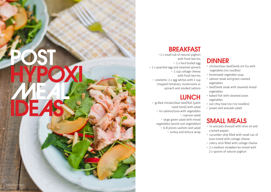#### BREAKFAST

• 1 x small tub of natural yoghurt with fresh berries • 1 x hard boiled egg

• 1 x poached egg and steamed spinach • 1 cup cottage cheese with fresh berries

• omelette: 2 x egg whites with 1 cup chopped tomatoes, mushrooms or spinach and smoked salmon

#### **LUNCH**

• grilled chicken/lean beef/fish (palm sized hand) with salad • tin salmon/tuna with vegetables • caprese salad

• large green salad with mixed vegetables (avoid root vegetables) • 6-8 pieces sashimi and salad • turkey and lettuce wrap

Image source: Pinterest

POST

### **DINNER**

- chicken/lean beef/lamb stir fry with vegetables (no noodles)
- homemade vegetable soup
- salmon steak and green roasted vegetables
- beef/lamb steak with steamed mixed vegetables
- baked fish with steamed asian vegetables
- san choy bow (no rice noodles)
- prawn and avacado salad

#### SMALL MEALS

- ½ avocado dressed with olive oil and cracked pepper
- cucumber ship filled with small can of tuna mixed with cottage cheese
- celery stick filled with cottage cheese
- 2 x medium strawberries mixed with 2 x spoons of natural yoghurt